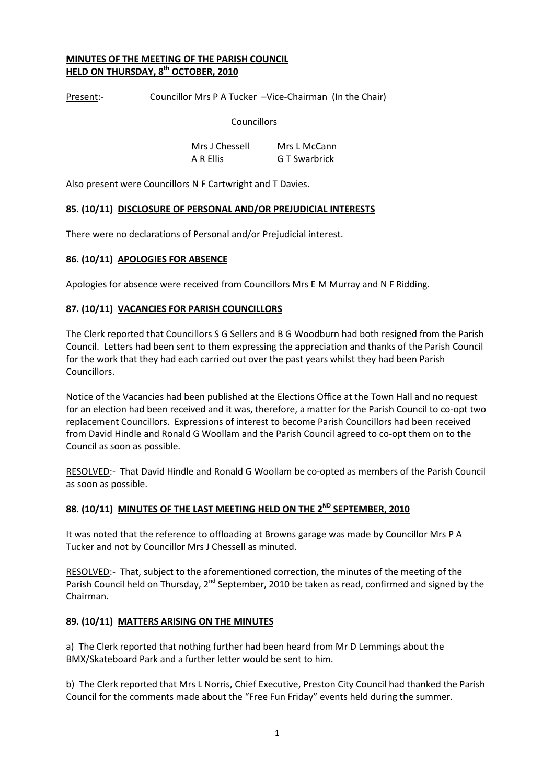### MINUTES OF THE MEETING OF THE PARISH COUNCIL HELD ON THURSDAY, 8<sup>th</sup> OCTOBER, 2010

Present:- Councillor Mrs P A Tucker -Vice-Chairman (In the Chair)

#### **Councillors**

 Mrs J Chessell Mrs L McCann A R Ellis G T Swarbrick

Also present were Councillors N F Cartwright and T Davies.

### 85. (10/11) DISCLOSURE OF PERSONAL AND/OR PREJUDICIAL INTERESTS

There were no declarations of Personal and/or Prejudicial interest.

### 86. (10/11) APOLOGIES FOR ABSENCE

Apologies for absence were received from Councillors Mrs E M Murray and N F Ridding.

### 87. (10/11) VACANCIES FOR PARISH COUNCILLORS

The Clerk reported that Councillors S G Sellers and B G Woodburn had both resigned from the Parish Council. Letters had been sent to them expressing the appreciation and thanks of the Parish Council for the work that they had each carried out over the past years whilst they had been Parish Councillors.

Notice of the Vacancies had been published at the Elections Office at the Town Hall and no request for an election had been received and it was, therefore, a matter for the Parish Council to co-opt two replacement Councillors. Expressions of interest to become Parish Councillors had been received from David Hindle and Ronald G Woollam and the Parish Council agreed to co-opt them on to the Council as soon as possible.

RESOLVED:- That David Hindle and Ronald G Woollam be co-opted as members of the Parish Council as soon as possible.

# 88. (10/11) MINUTES OF THE LAST MEETING HELD ON THE 2<sup>ND</sup> SEPTEMBER, 2010

It was noted that the reference to offloading at Browns garage was made by Councillor Mrs P A Tucker and not by Councillor Mrs J Chessell as minuted.

RESOLVED:- That, subject to the aforementioned correction, the minutes of the meeting of the Parish Council held on Thursday, 2<sup>nd</sup> September, 2010 be taken as read, confirmed and signed by the Chairman.

#### 89. (10/11) MATTERS ARISING ON THE MINUTES

a) The Clerk reported that nothing further had been heard from Mr D Lemmings about the BMX/Skateboard Park and a further letter would be sent to him.

b) The Clerk reported that Mrs L Norris, Chief Executive, Preston City Council had thanked the Parish Council for the comments made about the "Free Fun Friday" events held during the summer.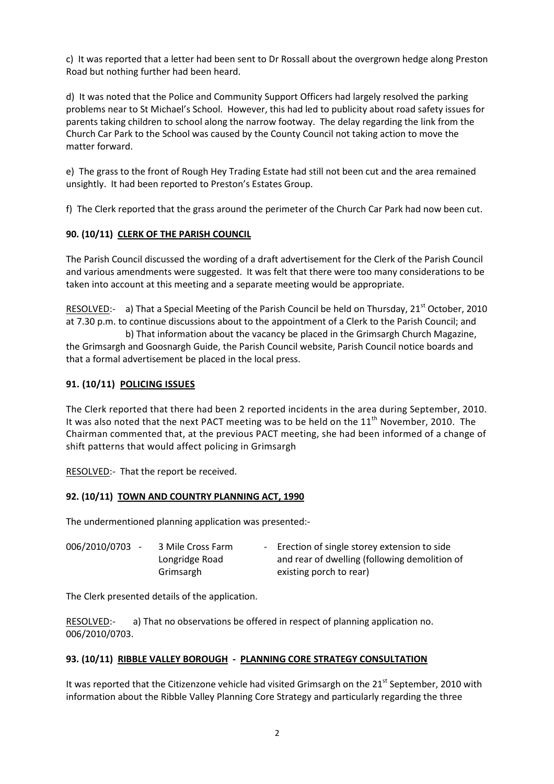c) It was reported that a letter had been sent to Dr Rossall about the overgrown hedge along Preston Road but nothing further had been heard.

d) It was noted that the Police and Community Support Officers had largely resolved the parking problems near to St Michael's School. However, this had led to publicity about road safety issues for parents taking children to school along the narrow footway. The delay regarding the link from the Church Car Park to the School was caused by the County Council not taking action to move the matter forward.

e) The grass to the front of Rough Hey Trading Estate had still not been cut and the area remained unsightly. It had been reported to Preston's Estates Group.

f) The Clerk reported that the grass around the perimeter of the Church Car Park had now been cut.

### 90. (10/11) CLERK OF THE PARISH COUNCIL

The Parish Council discussed the wording of a draft advertisement for the Clerk of the Parish Council and various amendments were suggested. It was felt that there were too many considerations to be taken into account at this meeting and a separate meeting would be appropriate.

RESOLVED:- a) That a Special Meeting of the Parish Council be held on Thursday, 21<sup>st</sup> October, 2010 at 7.30 p.m. to continue discussions about to the appointment of a Clerk to the Parish Council; and

 b) That information about the vacancy be placed in the Grimsargh Church Magazine, the Grimsargh and Goosnargh Guide, the Parish Council website, Parish Council notice boards and that a formal advertisement be placed in the local press.

## 91. (10/11) POLICING ISSUES

The Clerk reported that there had been 2 reported incidents in the area during September, 2010. It was also noted that the next PACT meeting was to be held on the  $11<sup>th</sup>$  November, 2010. The Chairman commented that, at the previous PACT meeting, she had been informed of a change of shift patterns that would affect policing in Grimsargh

RESOLVED:- That the report be received.

#### 92. (10/11) TOWN AND COUNTRY PLANNING ACT, 1990

The undermentioned planning application was presented:-

| 006/2010/0703 - | 3 Mile Cross Farm | - Erection of single storey extension to side |
|-----------------|-------------------|-----------------------------------------------|
|                 | Longridge Road    | and rear of dwelling (following demolition of |
|                 | Grimsargh         | existing porch to rear)                       |

The Clerk presented details of the application.

RESOLVED:- a) That no observations be offered in respect of planning application no. 006/2010/0703.

## 93. (10/11) RIBBLE VALLEY BOROUGH - PLANNING CORE STRATEGY CONSULTATION

It was reported that the Citizenzone vehicle had visited Grimsargh on the 21<sup>st</sup> September, 2010 with information about the Ribble Valley Planning Core Strategy and particularly regarding the three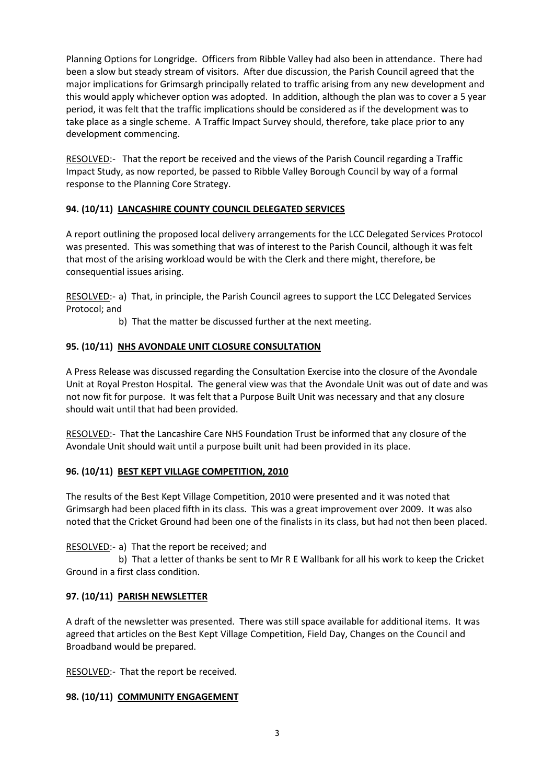Planning Options for Longridge. Officers from Ribble Valley had also been in attendance. There had been a slow but steady stream of visitors. After due discussion, the Parish Council agreed that the major implications for Grimsargh principally related to traffic arising from any new development and this would apply whichever option was adopted. In addition, although the plan was to cover a 5 year period, it was felt that the traffic implications should be considered as if the development was to take place as a single scheme. A Traffic Impact Survey should, therefore, take place prior to any development commencing.

RESOLVED:- That the report be received and the views of the Parish Council regarding a Traffic Impact Study, as now reported, be passed to Ribble Valley Borough Council by way of a formal response to the Planning Core Strategy.

## 94. (10/11) LANCASHIRE COUNTY COUNCIL DELEGATED SERVICES

A report outlining the proposed local delivery arrangements for the LCC Delegated Services Protocol was presented. This was something that was of interest to the Parish Council, although it was felt that most of the arising workload would be with the Clerk and there might, therefore, be consequential issues arising.

RESOLVED:- a) That, in principle, the Parish Council agrees to support the LCC Delegated Services Protocol; and

b) That the matter be discussed further at the next meeting.

## 95. (10/11) NHS AVONDALE UNIT CLOSURE CONSULTATION

A Press Release was discussed regarding the Consultation Exercise into the closure of the Avondale Unit at Royal Preston Hospital. The general view was that the Avondale Unit was out of date and was not now fit for purpose. It was felt that a Purpose Built Unit was necessary and that any closure should wait until that had been provided.

RESOLVED:- That the Lancashire Care NHS Foundation Trust be informed that any closure of the Avondale Unit should wait until a purpose built unit had been provided in its place.

## 96. (10/11) BEST KEPT VILLAGE COMPETITION, 2010

The results of the Best Kept Village Competition, 2010 were presented and it was noted that Grimsargh had been placed fifth in its class. This was a great improvement over 2009. It was also noted that the Cricket Ground had been one of the finalists in its class, but had not then been placed.

## RESOLVED:- a) That the report be received; and

 b) That a letter of thanks be sent to Mr R E Wallbank for all his work to keep the Cricket Ground in a first class condition.

## 97. (10/11) PARISH NEWSLETTER

A draft of the newsletter was presented. There was still space available for additional items. It was agreed that articles on the Best Kept Village Competition, Field Day, Changes on the Council and Broadband would be prepared.

RESOLVED:- That the report be received.

## 98. (10/11) COMMUNITY ENGAGEMENT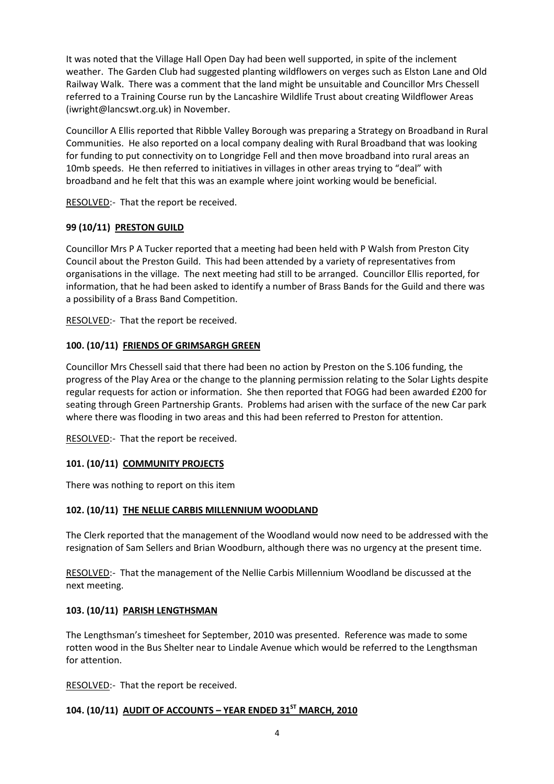It was noted that the Village Hall Open Day had been well supported, in spite of the inclement weather. The Garden Club had suggested planting wildflowers on verges such as Elston Lane and Old Railway Walk. There was a comment that the land might be unsuitable and Councillor Mrs Chessell referred to a Training Course run by the Lancashire Wildlife Trust about creating Wildflower Areas (iwright@lancswt.org.uk) in November.

Councillor A Ellis reported that Ribble Valley Borough was preparing a Strategy on Broadband in Rural Communities. He also reported on a local company dealing with Rural Broadband that was looking for funding to put connectivity on to Longridge Fell and then move broadband into rural areas an 10mb speeds. He then referred to initiatives in villages in other areas trying to "deal" with broadband and he felt that this was an example where joint working would be beneficial.

RESOLVED:- That the report be received.

# 99 (10/11) PRESTON GUILD

Councillor Mrs P A Tucker reported that a meeting had been held with P Walsh from Preston City Council about the Preston Guild. This had been attended by a variety of representatives from organisations in the village. The next meeting had still to be arranged. Councillor Ellis reported, for information, that he had been asked to identify a number of Brass Bands for the Guild and there was a possibility of a Brass Band Competition.

RESOLVED:- That the report be received.

## 100. (10/11) FRIENDS OF GRIMSARGH GREEN

Councillor Mrs Chessell said that there had been no action by Preston on the S.106 funding, the progress of the Play Area or the change to the planning permission relating to the Solar Lights despite regular requests for action or information. She then reported that FOGG had been awarded £200 for seating through Green Partnership Grants. Problems had arisen with the surface of the new Car park where there was flooding in two areas and this had been referred to Preston for attention.

RESOLVED:- That the report be received.

# 101. (10/11) COMMUNITY PROJECTS

There was nothing to report on this item

## 102. (10/11) THE NELLIE CARBIS MILLENNIUM WOODLAND

The Clerk reported that the management of the Woodland would now need to be addressed with the resignation of Sam Sellers and Brian Woodburn, although there was no urgency at the present time.

RESOLVED:- That the management of the Nellie Carbis Millennium Woodland be discussed at the next meeting.

# 103. (10/11) PARISH LENGTHSMAN

The Lengthsman's timesheet for September, 2010 was presented. Reference was made to some rotten wood in the Bus Shelter near to Lindale Avenue which would be referred to the Lengthsman for attention.

RESOLVED: That the report be received.

# 104. (10/11) AUDIT OF ACCOUNTS - YEAR ENDED 31ST MARCH, 2010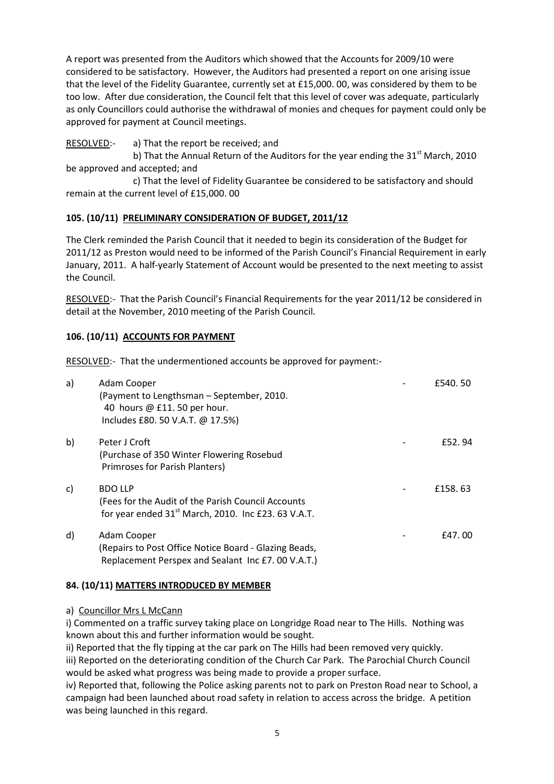A report was presented from the Auditors which showed that the Accounts for 2009/10 were considered to be satisfactory. However, the Auditors had presented a report on one arising issue that the level of the Fidelity Guarantee, currently set at £15,000. 00, was considered by them to be too low. After due consideration, the Council felt that this level of cover was adequate, particularly as only Councillors could authorise the withdrawal of monies and cheques for payment could only be approved for payment at Council meetings.

RESOLVED:- a) That the report be received; and

b) That the Annual Return of the Auditors for the year ending the  $31<sup>st</sup>$  March, 2010 be approved and accepted; and

 c) That the level of Fidelity Guarantee be considered to be satisfactory and should remain at the current level of £15,000. 00

# 105. (10/11) PRELIMINARY CONSIDERATION OF BUDGET, 2011/12

The Clerk reminded the Parish Council that it needed to begin its consideration of the Budget for 2011/12 as Preston would need to be informed of the Parish Council's Financial Requirement in early January, 2011. A half-yearly Statement of Account would be presented to the next meeting to assist the Council.

RESOLVED:- That the Parish Council's Financial Requirements for the year 2011/12 be considered in detail at the November, 2010 meeting of the Parish Council.

## 106. (10/11) ACCOUNTS FOR PAYMENT

RESOLVED:- That the undermentioned accounts be approved for payment:-

| a) | Adam Cooper<br>(Payment to Lengthsman - September, 2010.<br>40 hours @ £11.50 per hour.<br>Includes £80. 50 V.A.T. @ 17.5%)   | £540.50  |
|----|-------------------------------------------------------------------------------------------------------------------------------|----------|
| b) | Peter J Croft<br>(Purchase of 350 Winter Flowering Rosebud<br>Primroses for Parish Planters)                                  | f52.94   |
| c) | <b>BDO LLP</b><br>(Fees for the Audit of the Parish Council Accounts<br>for year ended $31st$ March, 2010. Inc £23. 63 V.A.T. | £158, 63 |
| d) | Adam Cooper<br>(Repairs to Post Office Notice Board - Glazing Beads,<br>Replacement Perspex and Sealant Inc £7.00 V.A.T.)     | £47.00   |

## 84. (10/11) MATTERS INTRODUCED BY MEMBER

#### a) Councillor Mrs L McCann

i) Commented on a traffic survey taking place on Longridge Road near to The Hills. Nothing was known about this and further information would be sought.

ii) Reported that the fly tipping at the car park on The Hills had been removed very quickly. iii) Reported on the deteriorating condition of the Church Car Park. The Parochial Church Council would be asked what progress was being made to provide a proper surface.

iv) Reported that, following the Police asking parents not to park on Preston Road near to School, a campaign had been launched about road safety in relation to access across the bridge. A petition was being launched in this regard.